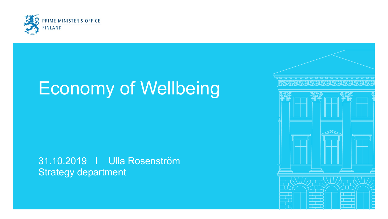

## Economy of Wellbeing

#### 31.10.2019 I Ulla Rosenström Strategy department

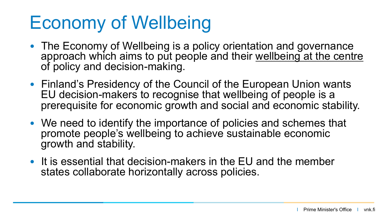# Economy of Wellbeing

- The Economy of Wellbeing is a policy orientation and governance approach which aims to put people and their wellbeing at the centre of policy and decision-making.
- Finland's Presidency of the Council of the European Union wants EU decision-makers to recognise that wellbeing of people is a prerequisite for economic growth and social and economic stability.
- We need to identify the importance of policies and schemes that promote people's wellbeing to achieve sustainable economic growth and stability.
- It is essential that decision-makers in the EU and the member states collaborate horizontally across policies.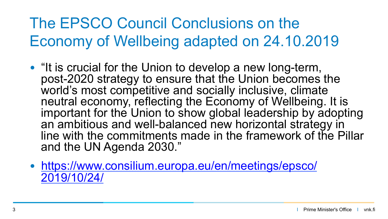The EPSCO Council Conclusions on the Economy of Wellbeing adapted on 24.10.2019

- "It is crucial for the Union to develop a new long-term, post-2020 strategy to ensure that the Union becomes the world's most competitive and socially inclusive, climate neutral economy, reflecting the Economy of Wellbeing. It is important for the Union to show global leadership by adopting an ambitious and well-balanced new horizontal strategy in line with the commitments made in the framework of the Pillar and the UN Agenda 2030."
- https://www.consilium.europa.eu/en/meetings/epsco/ 2019/10/24/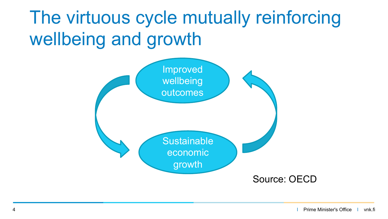# The virtuous cycle mutually reinforcing wellbeing and growth

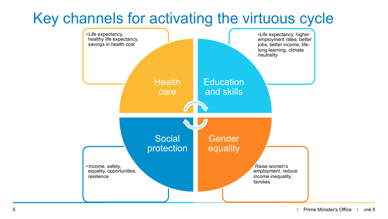#### Key channels for activating the virtuous cycle

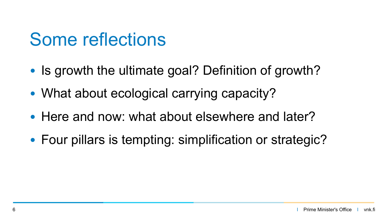#### Some reflections

- Is growth the ultimate goal? Definition of growth?
- What about ecological carrying capacity?
- Here and now: what about elsewhere and later?
- Four pillars is tempting: simplification or strategic?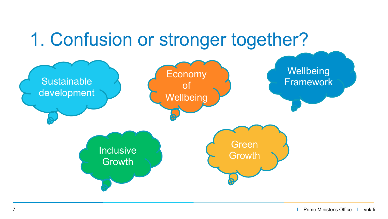### 1. Confusion or stronger together?

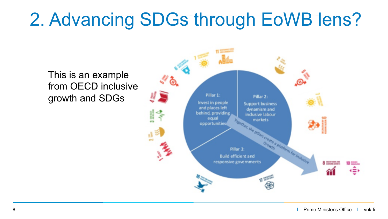# 2. Advancing SDGs through EoWB lens?

This is an example from OECD inclusive growth and SDGs

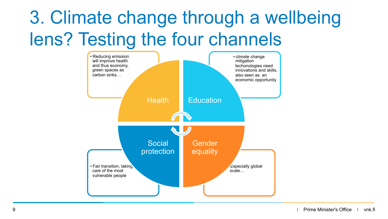# 3. Climate change through a wellbeing lens? Testing the four channels